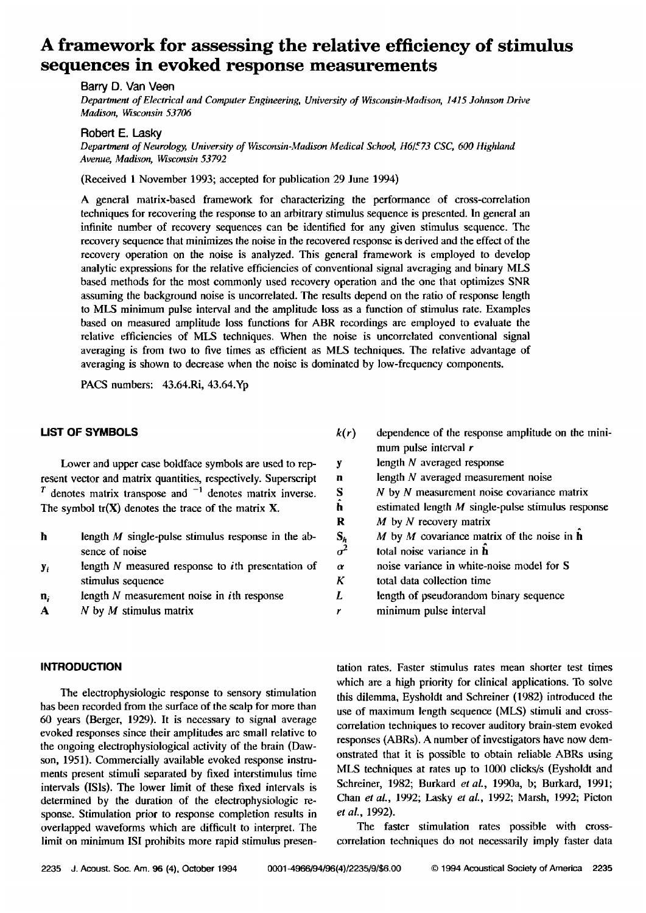# **A framework for assessing the relative efficiency of stimulus sequences in evoked response measurements**

**Barry D. Van Veen** 

**Department of Electrical and Computer Engineering, University of Wisconsin-Madison, 1415 Johnson Drive Madison, Wisconsin 53706** 

**Robert E. Lasky** 

**Department of Neurology, University of Wisconsin-Madison Medical School, H6/573 CSC, 600 Highland Avenue, Madison, Wisconsin 53792** 

**(Received I November 1993; accepted for publication 29 June 1994)** 

**A general matrix-based framework for characterizing the performance of cross-correlation techniques for recovering the response to an arbitrary stimulus sequence is presented. In general an infinite number of recovery sequences can be identified for any given stimulus sequence. The recovery sequence that minimizes the noise in the recovered response is derived and the effect of the recovery operation on the noise is analyzed. This general framework is employed to develop analytic expressions for the relative efficiencies of conventional signal averaging and binary MLS based methods for the most commonly used recovery operation and the one that optimizes SNR assuming the background noise is uncorrelated. The results depend on the ratio of response length to MLS minimum pulse interval and the amplitude loss as a function of stimulus rate. Examples based on measured amplitude loss functions for ABR recordings are employed to evaluate the relative efficiencies of MLS techniques. When the noise is uncorrclated conventional signal averaging is from two to five times as efficient as MLS techniques. The relative advantage of averaging is shown to decrease when the noise is dominated by low-frequency components.** 

**PACS numbers: 43.64.Ri, 43.64.Yp** 

#### **LIST OF SYMBOLS**

**Lower and upper case boldface symbols are used to represent vector and matrix quantities, respectively. Superscript**   $T$  denotes matrix transpose and  $^{-1}$  denotes matrix inverse. **The symbol tr(X) denotes the trace of the matrix X.** 

| h | length $M$ single-pulse stimulus response in the ab- |  |  |  |  |  |  |  |  |  |  |  |  |
|---|------------------------------------------------------|--|--|--|--|--|--|--|--|--|--|--|--|
|   | sence of noise                                       |  |  |  |  |  |  |  |  |  |  |  |  |

**Yi length N measured response to ith prescntation of stimulus sequence** 

- **length N measurement noise in ith response**  n,
- **N by M stimulus matrix**  A

#### **INTRODUCTION**

**The electrophysiologic response to sensory stimulation has been recorded from the surface of the scalp for more than 60 years (Berger, 1929). It is necessary to signal average**  evoked responses since their amplitudes are small relative to **the ongoing electrophysiological activity of the brain (Dawson, 1951). Commercially available evoked response instruments present stimuli separated by fixed interstimulus time intervals (ISls). The lower limit of these fixed inlervals is determined by the duration of the electrophysiologic response. Stimulation prior to response completion results in overlapped waveforms which are difficult to interpret. The limit on minimum ISI prohibits more rapid stimulus presen-**

| k(r)                   | dependence of the response amplitude on the mini-   |
|------------------------|-----------------------------------------------------|
|                        | mum pulse interval r                                |
| y                      | length $N$ averaged response                        |
| n                      | length $N$ averaged measurement noise               |
| <b>S</b>               | $N$ by $N$ measurement noise covariance matrix      |
| ĥ                      | estimated length $M$ single-pulse stimulus response |
| R                      | $M$ by N recovery matrix                            |
| $\frac{S_h}{\sigma^2}$ | M by M covariance matrix of the noise in $h$        |
|                        | total noise variance in <b>h</b>                    |
| $\alpha$               | noise variance in white-noise model for S           |
| K                      | total data collection time                          |
| L                      | length of pseudorandom binary sequence              |
|                        | minimum pulse interval                              |

**tation rates. Faster stimulus rates mean shorter test times which are a high priority for clinical applications. To solve this dilemma, Eyshoidt and Schreiner (1982) introduced the use of maximum length sequence (MLS) stimuli and crosscorrelation techniques to recover auditory brain-stem evoked responses (ABRs). A number of investigators have now demonstrated that it is possible to obtain reliable ABRs using MLS techniques at rates up to 1000 clicks/s (Eysholdt and**  Schreiner, 1982; Burkard et al., 1990a, b; Burkard, 1991; **Chart et al., 1992; Lasky et aL, 1992; Marsh, 1992; Picton** 

**The faster stimulation rates possible with crosscorrelation techniques do not necessarily imply faster data** 

**et al., 1992).**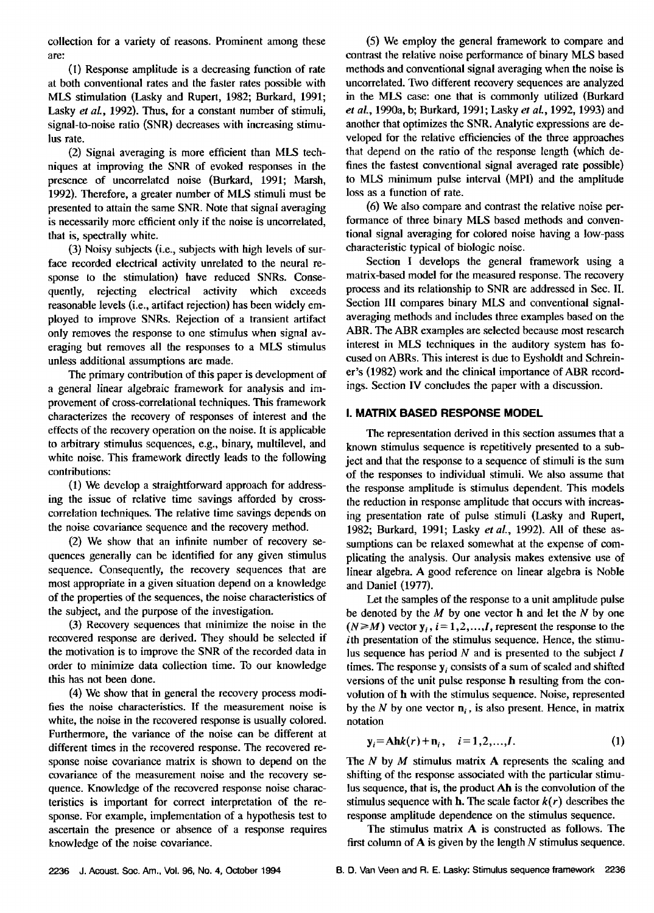**collection for a variety of reasons. Prominent among these are:** 

**(I) Response amplitude is a decreasing function of rate at both conventional rates and the faster rates possible with MLS stimulation (Lasky and Rupert, 1982; Burkard, 1991; Lasky et al., 1992). Thus, for a constant number of stimuli, signal-to-noise ratio (SNR) decreases with increasing stimulus rate.** 

**(2) Signal averaging is more efficient than MLS techniques at improving the SNR of evoked responses in the presence of uncorrelated noise (Burkard, 1991; Marsh, 1992). Therefore, a greater number of MLS stimuli must be presented to attain the same SNR. Note that signal averaging is necessarily more efficient only if the noise is uncorrelated, that is, spectrally white.** 

**(3) Noisy subjects (i.e., subjects with high levels of surface recorded electrical activity unrelated to the neural response to the stimulation) have reduced SNRs. Consequently, rejecting electrical activity which exceeds**  reasonable levels (i.e., artifact rejection) has been widely em**ployed to improve SNRs. Rejection of a transient artifact only removes the response to one stimulus when signal averaging but removes all the responses to a MLS stimulus unless additional assumptions are made.** 

**The primary contribution of this paper is development of a general linear algebraic framework for analysis and improvement of cross-correlational techniques. This framework characterizes the recovery of responses of interest and the effects of the recovery operation on the noise. It is applicable to arbitrary stimulus sequences, e.g., binary, multilevel, and white noise. This framework directly leads to the following contributions:** 

**(1) We develop a straightforward approach for addressing the issue of relative time savings afforded by crosscorrelation techniques. The relative time savings depends on the noise covariance sequence and the recovery method.** 

**(2) We show that an infinite number of recovery sequences generally can be identified for any given stimulus sequence. Consequently, the recovery sequences that are most appropriate in a given situation depend on a knowledge of the properties of the sequences, the noise characteristics of the subject, and the purpose of the investigation.** 

**(3) Recovery sequences that minimize the noise in the recovered response are derived. They should be selected if the motivation is to improve the SNR of the recorded data in order to minimize data collection time. To our knowledge this has not been done.** 

**(4) We show that in general the recovery process modifies the noise characteristics. If the measurement noise is white, the noise in the recovered response is usually colored. Furthermore, the variance of the noise can be different at different times in the recovered response. The recovered response noise covariance matrix is shown to depend on the covariance of the measurement noise and the recovery sequence. Knowledge of the recovered response noise characteristics is important for correct interpretation of the re**sponse. For example, implementation of a hypothesis test to **ascertain the presence or absence of a response requires knowledge of the noise covariance.** 

**(5) We employ the general framework to compare and**  contrast the relative noise performance of binary MLS based **methods and conventional signal averaging when the noise is uncorrelated. Two different recovery sequences are analyzed in the MLS case: one that is commonly utilized (Burkard et al., 1990a, b; Burkard, 1991; Lasky et al., 1992, 1993) and another that optimizes the SNR. Analytic expressions are developed for the relative efficiencies of the three approaches that depend on the ratio of the response length (which defines the fastest conventional signal averaged rate possible) to MLS minimum pulse interval (MPI) and the amplitude loss as a function of rate.** 

**(6) We also compare and contrast the relative noise performance of three binary MLS based methods and conventional signal averaging for colored noise having a low-pass characteristic typical of biologic noise.** 

**Section I develops the general framework using a matrix-based model for the measured response. The recovery process and its relationship to SNR are addressed in Sec. lI. Section Ill compares binary MLS and conventional signalaveraging methods and includes three examples based on the ABR. The ABR examples are selected because most research interest in MLS techniques in the auditory system has focused on ABRs. This interest is due to Eysholdt and Schreiner's (1982) work and the clinical importance of ABR recordings. Section IV concludes the paper with a discussion.** 

## **I. MATRIX BASED RESPONSE MODEL**

**The representation derived in this section assumes that a known stimulus sequence is repetitively presented to a subject and that the response to a sequence of stimuli is the sum of the responses to individual stimuli. We also assume that the response amplitude is stimulus dependent. This models the reduction in response amplitude that occurs with increasing presentation rate of pulse stimuli (Lasky and Rupert,**  1982; Burkard, 1991; Lasky et al., 1992). All of these as**sumptions can be relaxed somewhat at the expense of complicating the analysis. Our analysis makes extensive use of linear algebra. A good reference on linear algebra is Noble and Daniel (1977).** 

**Let the samples of the response to a unit amplitude pulse be denoted by the M by one vector h and let the N by one**   $(N \geq M)$  vector  $y_i$ ,  $i = 1, 2, \ldots, I$ , represent the response to the **ith presentation of the stimulus sequence. Hence, the stimulus sequence has period N and is presented to the subject I**  times. The response  $y_i$  consists of a sum of scaled and shifted versions of the unit pulse response **h** resulting from the con**volution of h with the stimulus sequence. Noise, represented**  by the N by one vector  $n_i$ , is also present. Hence, in matrix **notation** 

$$
\mathbf{y}_i = \mathbf{Ahk}(r) + \mathbf{n}_i, \quad i = 1, 2, \dots, I. \tag{1}
$$

**The N by M stimulus matrix A represents the scaling and shifting of the response associated with the particular stimulus sequence, that is, the product Ah is the convolution of the**  stimulus sequence with **h**. The scale factor  $k(r)$  describes the **response amplitude dependence on the stimulus sequence.** 

**The stimulus matrix A is constructed as follows. The first column of A is given by the length N stimulus sequence.**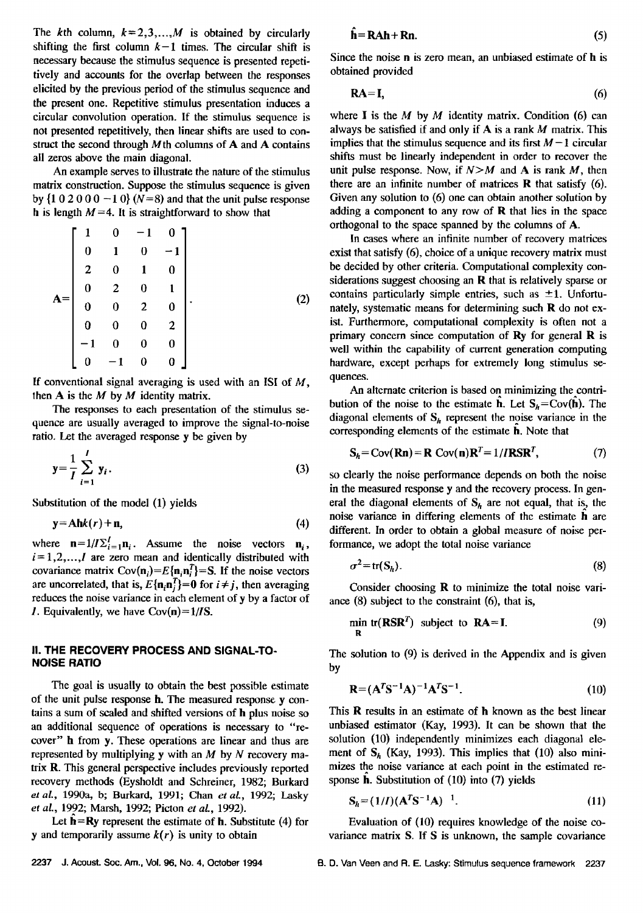The kth column,  $k=2,3,...,M$  is obtained by circularly shifting the first column  $k-1$  times. The circular shift is necessary because the stimulus sequence is presented repeti**tively and accounts for the overlap between the responses elicited by the previous period of the stimulus sequence and the present one. Repetitive stimulus presentation iduces a circular convolution operation. If the stimulus sequence is not presented repetitively, then linear shifts are used to construct the second through Mth columns of A and A contains all zeros above the main diagonal.** 

**An example serves to illustrate the nature of the stimulus matrix constmction. Suppose the stimulus sequence is given by {1 0 2 0 0 0 -1 0} (N=8) and that the unit pulse response h** is length  $M = 4$ . It is straightforward to show that

$$
A = \begin{bmatrix} 1 & 0 & -1 & 0 \\ 0 & 1 & 0 & -1 \\ 2 & 0 & 1 & 0 \\ 0 & 2 & 0 & 1 \\ 0 & 0 & 2 & 0 \\ 0 & 0 & 0 & 2 \\ -1 & 0 & 0 & 0 \\ 0 & -1 & 0 & 0 \end{bmatrix}.
$$
 (2)

**If conventional signal averaging is used with an ISl of M, then A is the M by M identity matrix.** 

**The responses to each presentation of the stimulus sequence are usually averaged to improve the signal-to-noise ratio. Let the averaged response y be given by** 

$$
y = \frac{1}{I} \sum_{i=1}^{I} y_i.
$$
 (3)

Substitution of the model (1) yields

$$
y = Ahk(r) + n, \tag{4}
$$

where  $\mathbf{n}=1/I\Sigma_{i=1}^I\mathbf{n}_i$ . Assume the noise vectors  $\mathbf{n}_i$ ,  $i=1,2,..., I$  are zero mean and identically distributed with covariance matrix  $Cov(n_i)=E\{n_i n_i^T\}=S$ . If the noise vectors are uncorrelated, that is,  $E\{\mathbf{n}_i\mathbf{n}_i^T\} = \mathbf{0}$  for  $i \neq j$ , then averaging **reduces the noise variance in each element of y by a factor of 1. Equivalently, we have Cov(n)= 1/IS.** 

## **II. THE RECOVERY PROCESS AND SIGNAL-TO-NOISE RATIO**

The goal is usually to obtain the best possible estimate **of the unit pulse response h. The measured response y contains a sum of scaled and shifted versions of h plus noise so an additional sequence of operations is necessary to "recover" h from y. These operations are linear and thus are represented by multiplying y with an M by N recovery matrix R. This general perspective includes previously reported recovery methods (Eysholdt and Schreiner, 1982; Burkard et al., 1990a, b; Burkard, 1991; Chun et al., 1992; Lasky**  et al., 1992; Marsh, 1992; Picton et al., 1992).

**Let h=Ry represent the estimate of h. Substitute (4) for y** and temporarily assume  $k(r)$  is unity to obtain

$$
\hat{\mathbf{h}} = \mathbf{R} \mathbf{A} \mathbf{h} + \mathbf{R} \mathbf{n}.\tag{5}
$$

**Since the noise n is zero mean, an unbiased estimate of h is obtained provided** 

$$
RA=I, \tag{6}
$$

**where I is the M by M identity matrix. Condition (6) can always be satisfied if and only if A is a rank M matrix. This implies that the stimulus sequence and its first**  $M-1$  **circular shifts must be linearly independent in order to recover the**  unit pulse response. Now, if  $N > M$  and A is rank M, then **there are an infinite number of matrices R that satisfy (6). Given any solution to (6) one can obtain another solution by adding a component to any row of R that lies in the space orthogonal to the space spanned by the columns of A.** 

**In cases where an infinite number of recovery matrices exist that satisfy (6), choice of a unique recovery matrix must be decided by other criteria. Computational complexity considerations suggest choosing an R that is relatively sparse or**  contains particularly simple entries, such as  $\pm 1$ . Unfortu**nately, systematic means for determining such R do not exist. Furthermore, computational complexity is often not a primary concern since computation of Ry for general R is well within the capability of current generation computing hardware, except perhaps for extremely long stimulus sequences.** 

An alternate criterion is based on minimizing the contri**bution of the noise to the estimate**  $\hat{\mathbf{h}}$ **.** Let  $\mathbf{S}_h = \text{Cov}(\hat{\mathbf{h}})$ . The diagonal elements of  $S_h$  represent the noise variance in the **corresponding elements of the estimate fl. Note that** 

$$
\mathbf{S}_h = \text{Cov}(\mathbf{Rn}) = \mathbf{R} \text{ Cov}(\mathbf{n}) \mathbf{R}^T = 1 / I \mathbf{R} \mathbf{S} \mathbf{R}^T, \tag{7}
$$

**so clearly the noise performance depends on both the noise in the measured response y and the recovery process. In gen**eral the diagonal elements of  $S_h$  are not equal, that is, the **noise variance in differing elements of thc estimate h are different. In order to obtain a global measure of noise performance, we adopt the total noise variance** 

$$
\sigma^2 = \text{tr}(S_h). \tag{8}
$$

**Consider choosing R to minimize the total noise vari**ance (8) subject to the constraint (6), that is,

$$
\min_{\mathbf{R}} \text{tr}(\mathbf{RSR}^T) \text{ subject to } \mathbf{RA} = \mathbf{I}. \tag{9}
$$

**The solution to (9) is derived in the Appendix and is given by** 

$$
R = (ATS-1A)-1ATS-1.
$$
 (10)

**This R results in an estimate of h known as the best linear unbiased estimator (Kay, 1993). It can be shown that the solution (10) independently minimizes each diagonal ele**ment of  $S_h$  (Kay, 1993). This implies that (10) also mini**mizes the noise variance at each point in the estimated response fl. Substitution of (10) into (7) yields** 

$$
S_h = (1/I)(A^T S^{-1} A)^{-1}.
$$
 (11)

**Evaluation of (10) requires knowledge of the noise covariance matrix S. ff S is unknown, the sample covariance**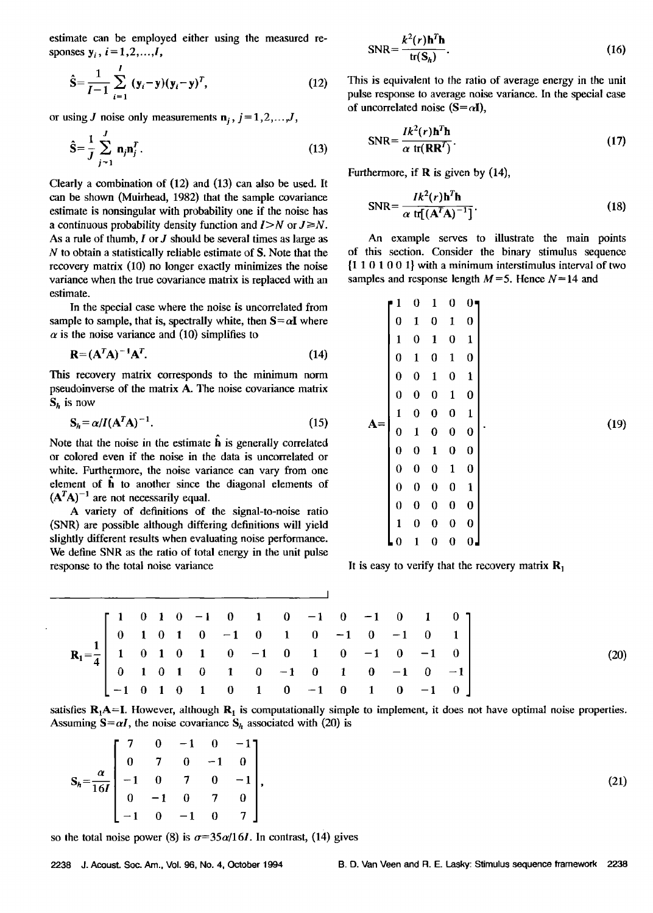**estimate can be employed either using the measured re**sponses  $y_i$ ,  $i = 1, 2, ..., I$ ,

$$
\hat{\mathbf{S}} = \frac{1}{I-1} \sum_{i=1}^{I} (\mathbf{y}_i - \mathbf{y})(\mathbf{y}_i - \mathbf{y})^T, \tag{12}
$$

or using J noise only measurements  $\mathbf{n}_i$ ,  $j = 1, 2, \dots, J$ ,

$$
\hat{\mathbf{S}} = \frac{1}{J} \sum_{j=1}^{J} \mathbf{n}_j \mathbf{n}_j^T.
$$
 (13)

**Clearly a combination of (12) and (13) can also be used. It can be shown (Muirhead, 1982) that the sample covariance estimate is nonsingular with probability one if the noise has**  a continuous probability density function and  $I > N$  or  $J \ge N$ . As a rule of thumb, I or J should be several times as large as **N to obtain a statistically reliable estimate of S. Note that the recovery matrix (10) no longer exactly minimizes the noise variance when the true covariance matrix is replaced with an estimate.** 

**In the special case where the noise is uncorrelated from**  sample to sample, that is, spectrally white, then  $S = \alpha I$  where  $\alpha$  is the noise variance and (10) simplifies to

$$
\mathbf{R} = (\mathbf{A}^T \mathbf{A})^{-1} \mathbf{A}^T. \tag{14}
$$

**This recovery matrix corresponds to the minimum norm**  pseudoinverse of the matrix A. The noise covariance matrix  $S_h$  is now

$$
\mathbf{S}_h = \alpha / I (\mathbf{A}^T \mathbf{A})^{-1}.
$$
 (15)

Note that the noise in the estimate  $\hat{\mathbf{h}}$  is generally correlated **or colored even if the noise in the data is uncorrelated or**  white. Furthermore, the noise variance can vary from one **element of h to another since the diagonal elements of**   $(A^T A)^{-1}$  are not necessarily equal.

**A variety of definitions of the signal-to-noise ratio (SNR) are possible although differing definitions will yield slightly different results when evaluating noise performance. We define SNR as the ratio of total energy in the unit pulse response to the total noise variance** 

$$
SNR = \frac{k^2(r) \mathbf{h}^T \mathbf{h}}{\text{tr}(\mathbf{S}_h)}.
$$
 (16)

This is equivalent to the ratio of average energy in the unit **pulse response to average noise variance. In the special case**  of uncorrelated noise  $(S = \alpha I)$ ,

$$
SNR = \frac{Ik^{2}(r)\mathbf{h}^{T}\mathbf{h}}{\alpha \text{ tr}(\mathbf{R}\mathbf{R}^{T})}.
$$
 (17)

**Furthermore, if R is given by (14),** 

$$
SNR = \frac{Ik^{2}(r)h^{T}h}{\alpha \text{ tr}[(A^{T}A)^{-1}]}.
$$
 (18)

**An example serves to illustrate the main points of this section. Consider the binary stimulus sequence {1 1 0 1 0 0 1} with a minimum interstimulus interval of two**  samples and response length  $M = 5$ . Hence  $N = 14$  and

$$
A = \begin{bmatrix} 1 & 0 & 1 & 0 & 0 \\ 0 & 1 & 0 & 1 & 0 \\ 1 & 0 & 1 & 0 & 1 \\ 0 & 1 & 0 & 1 & 0 \\ 0 & 0 & 1 & 0 & 1 \\ 1 & 0 & 0 & 0 & 1 \\ 1 & 0 & 0 & 0 & 1 \\ 0 & 1 & 0 & 0 & 0 \\ 0 & 0 & 1 & 0 & 0 \\ 0 & 0 & 0 & 1 & 0 \\ 0 & 0 & 0 & 0 & 1 \\ 0 & 0 & 0 & 0 & 0 \\ 1 & 0 & 0 & 0 & 0 \\ 0 & 1 & 0 & 0 & 0 \\ 0 & 1 & 0 & 0 & 0 \\ 0 & 1 & 0 & 0 & 0 \\ 0 & 1 & 0 & 0 & 0 \\ 0 & 0 & 1 & 0 & 0 \\ 0 & 0 & 0 & 0 & 0 \\ 0 & 0 & 0 & 0 & 0 \\ 0 & 0 & 0 & 0 & 0 \\ 0 & 0 & 0 & 0 & 0 \\ 0 & 0 & 0 & 0 & 0 \\ 0 & 0 & 0 & 0 & 0 \\ 0 & 0 & 0 & 0 & 0 \\ 0 & 0 & 0 & 0 & 0 \\ 0 & 0 & 0 & 0 & 0 \\ 0 & 0 & 0 & 0 & 0 \\ 0 & 0 & 0 & 0 & 0 \\ 0 & 0 & 0 & 0 & 0 \\ 0 & 0 & 0 & 0 & 0 \\ 0 & 0 & 0 & 0 & 0 \\ 0 & 0 & 0 & 0 & 0 \\ 0 & 0 & 0 & 0 & 0 \\ 0 & 0 & 0 & 0 & 0 \\ 0 & 0 & 0 & 0 & 0 \\ 0 & 0 & 0 & 0 & 0 \\ 0 & 0 & 0 & 0 & 0 \\ 0 & 0 & 0 & 0 & 0 \\ 0 & 0 & 0 & 0 & 0 \\ 0 & 0 & 0 & 0 & 0 \\ 0 & 0 & 0 & 0 & 0 \\ 0 & 0 & 0 & 0 & 0 \\ 0 & 0 & 0 & 0 & 0 \\ 0 & 0 & 0 & 0 & 0 \\ 0 & 0 & 0 & 0 & 0 \\ 0 & 0 & 0 & 0 & 0 \\ 0 & 0 & 0 & 0 & 0 \\ 0 & 0 & 0 & 0 & 0 \\ 0 & 0 & 0 & 0 & 0 \\
$$

It is easy to verify that the recovery matrix  $\mathbf{R}_1$ 

$$
R_{1} = \frac{1}{4} \begin{bmatrix} 1 & 0 & 1 & 0 & -1 & 0 & 1 & 0 & -1 & 0 & -1 & 0 & 1 & 0 \\ 0 & 1 & 0 & 1 & 0 & -1 & 0 & 1 & 0 & -1 & 0 & -1 & 0 & 1 \\ 1 & 0 & 1 & 0 & 1 & 0 & -1 & 0 & 1 & 0 & -1 & 0 & -1 & 0 \\ 0 & 1 & 0 & 1 & 0 & 1 & 0 & -1 & 0 & 1 & 0 & -1 & 0 & -1 \\ -1 & 0 & 1 & 0 & 1 & 0 & 1 & 0 & -1 & 0 & 1 & 0 & -1 & 0 \end{bmatrix}
$$
(20)

 $\mathbf{I}$ 

satisfies  $R_1A=I$ . However, although  $R_1$  is computationally simple to implement, it does not have optimal noise properties. Assuming  $S = \alpha I$ , the noise covariance  $S_h$  associated with (20) is

$$
S_h = \frac{\alpha}{16I} \begin{bmatrix} 7 & 0 & -1 & 0 & -1 \\ 0 & 7 & 0 & -1 & 0 \\ -1 & 0 & 7 & 0 & -1 \\ 0 & -1 & 0 & 7 & 0 \\ -1 & 0 & -1 & 0 & 7 \end{bmatrix},
$$

so the total noise power (8) is  $\sigma = 35\alpha/16I$ . In contrast, (14) gives

**(21)**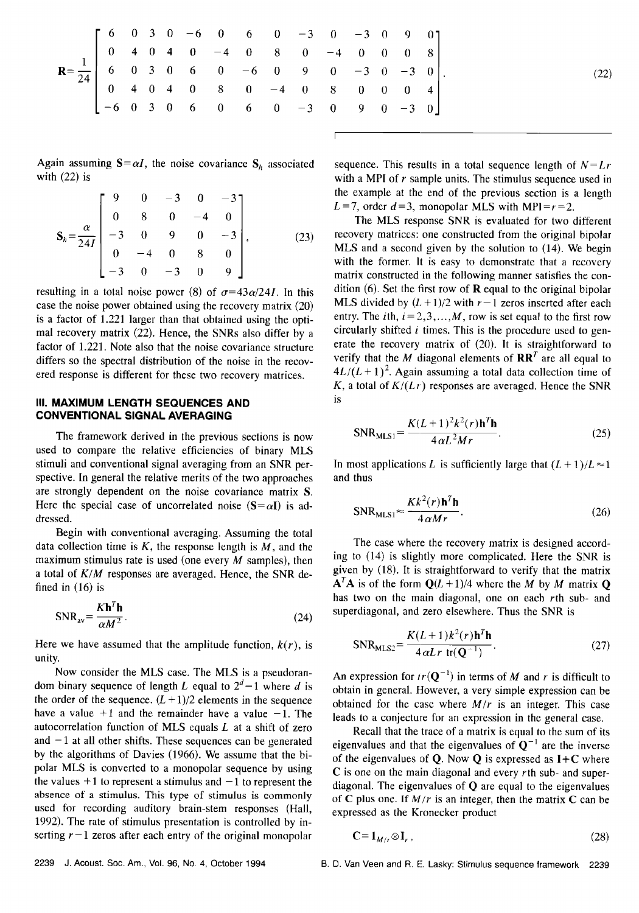| $R = \frac{1}{24}$ $\begin{bmatrix} 6 & 0 & 3 & 0 & -6 & 0 & 6 & 0 & -3 & 0 & -3 & 0 & 9 & 0 \\ 0 & 4 & 0 & 4 & 0 & -4 & 0 & 8 & 0 & -4 & 0 & 0 & 0 & 8 \\ 6 & 0 & 3 & 0 & 6 & 0 & -6 & 0 & 9 & 0 & -3 & 0 & -3 & 0 \\ 0 & 4 & 0 & 4 & 0 & 8 & 0 & -4 & 0 & 8 & 0 & 0 & 0 & 4 \\ -6 & 0 & 3 & 0 & 6 & 0 & 6 & 0 & -3 & 0 & 9 &$ |  |  |  |  |  |  |  |
|---------------------------------------------------------------------------------------------------------------------------------------------------------------------------------------------------------------------------------------------------------------------------------------------------------------------------------|--|--|--|--|--|--|--|
|                                                                                                                                                                                                                                                                                                                                 |  |  |  |  |  |  |  |
|                                                                                                                                                                                                                                                                                                                                 |  |  |  |  |  |  |  |
|                                                                                                                                                                                                                                                                                                                                 |  |  |  |  |  |  |  |

Again assuming  $S = \alpha I$ , the noise covariance  $S_h$  associated **with (22) is** 

$$
\mathbf{S}_{h} = \frac{\alpha}{24I} \begin{bmatrix} 9 & 0 & -3 & 0 & -3 \\ 0 & 8 & 0 & -4 & 0 \\ -3 & 0 & 9 & 0 & -3 \\ 0 & -4 & 0 & 8 & 0 \\ -3 & 0 & -3 & 0 & 9 \end{bmatrix}, \quad (23)
$$

**resulting in a total noise power (8) of**  $\sigma = 43\alpha/24I$ **. In this case the noise power obtained using the recovery matrix (20) is a factor of 1.221 larger than that obtained using the optimal recovery matrix (22). Hence, the SNRs also differ by a factor of 1.221. Note also that the noise covariance structure differs so the spectral distribution of the noise in the recovered response is different for these two recovery matrices.** 

#### **III. MAXIMUM LENGTH SEQUENCES AND CONVENTIONAL SIGNAL AVERAGING**

The framework derived in the previous sections is now **used to compare the relative efficiencies of binary MLS stimuli and conventional signal averaging from an SNR perspective. In general the relative merits of the two approaches are strongly dependent on the noise covariance matrix S.**  Here the special case of uncorrelated noise  $(S = \alpha I)$  is ad**dressed.** 

Begin with conventional averaging. Assuming the total data collection time is  $K$ , the response length is  $M$ , and the **maximum stimulus rate is used (one every M samples), then a total of K/M responses are averaged. Hence, the SNR defined in (16) is** 

$$
SNR_{av} = \frac{Kh'^2 h}{\alpha M^2}.
$$
 (24)

Here we have assumed that the amplitude function,  $k(r)$ , is **unity.** 

**Now consider the MLS case. The MLS is a pseudoran**dom binary sequence of length L equal to  $2^d-1$  where d is the order of the sequence.  $(L + 1)/2$  elements in the sequence have a value  $+1$  and the remainder have a value  $-1$ . The **autocorrelation function of MLS equals L at a shift of zero**  and  $-1$  at all other shifts. These sequences can be generated **by the algorithms of Davies (1966). We assume that the bipolar MLS is converted to a monopolar sequence by using**  the values  $+1$  to represent a stimulus and  $-1$  to represent the **absence of a stimulus. This type of stimulus is commonly used for recording auditory brain-stem responses (Hall, 1992). The rate of stimulus presentation is controlled by in**serting  $r-1$  zeros after each entry of the original monopolar sequence. This results in a total sequence length of  $N=Lr$ **with a MPI of r sample units. The stimulus sequence used in the example at the end of the previous section is a length**   $L = 7$ , order  $d = 3$ , monopolar MLS with MPI= $r = 2$ .

**(22)** 

**The MLS response SNR is evaluated for two different recovery matrices: one constructed from the original bipolar MLS and a second given by the solution to (14). We begin with the former. It is easy to demonstrate that a recovery matrix constructed in the following manner satisfies the condition (6). Set the first row of R equal to the original bipolar MLS** divided by  $(L + 1)/2$  with  $r - 1$  zeros inserted after each entry. The *i*th,  $i = 2, 3, ..., M$ , row is set equal to the first row circularly shifted *i* times. This is the procedure used to gen**erate the recovery matrix of (20). It is straightforward to**  verify that the M diagonal elements of  $\mathbf{R}\mathbf{R}^T$  are all equal to  $4L/(L+1)^2$ . Again assuming a total data collection time of  $K$ , a total of  $K/(Lr)$  responses are averaged. Hence the SNR **is** 

$$
SNR_{MLSI} = \frac{K(L+1)^2 k^2(r) \mathbf{h}^T \mathbf{h}}{4 \alpha L^2 M r}.
$$
 (25)

In most applications L is sufficiently large that  $(L+1)/L \approx 1$ **and thus** 

$$
SNR_{MLSI} \approx \frac{Kk^2(r)\mathbf{h}^T\mathbf{h}}{4\alpha Mr}.
$$
 (26)

**The case where the recovery matrix is designed according to (14) is slightly more complicated. Here the SNR is given by (18). It is; straightforward to verify that the matrix**   $A^T A$  is of the form  $Q(L+1)/4$  where the M by M matrix Q **has two on the main diagonal, one on each rth sub- and superdiagonal, and zero elsewhere. Thus the SNR is** 

$$
SNR_{MLS2} = \frac{K(L+1)k^2(r)\mathbf{h}^T\mathbf{h}}{4\alpha Lr \text{ tr}(\mathbf{Q}^{-1})}.
$$
 (27)

An expression for  $ir(\mathbf{Q}^{-1})$  in terms of M and r is difficult to **obtain in general. }towever, a very simple expression can be obtained for the case where M/r is an integer. This case leads to a conjecture for an expression in the general case.** 

**Recall that the trace of a matrix is equal to the sum of its**  eigenvalues and that the eigenvalues of  $Q^{-1}$  are the inverse **of the eigenvalues of Q. Now Q is expressed as I+C where C is one on the main diagonal and every rth sub- and superdiagonal. The eigenvalues of Q are equal to the eigenvalues**  of  $C$  plus one. If  $M/r$  is an integer, then the matrix  $C$  can be **expressed as the Kronecker product** 

$$
\mathbf{C} = \mathbf{1}_{M/r} \otimes \mathbf{I}_r, \tag{28}
$$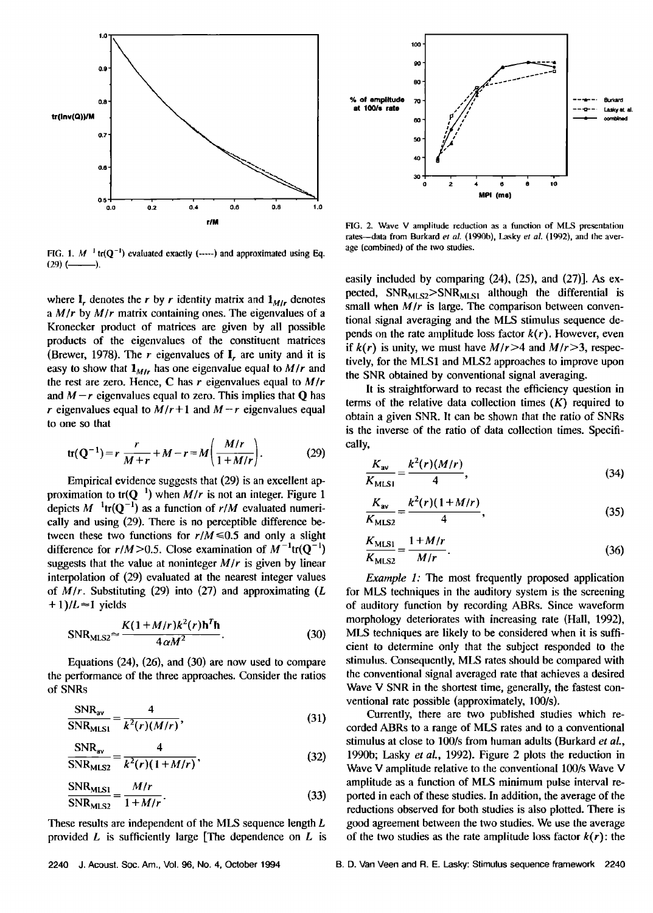



FIG. 1.  $M^{-1}$  tr( $Q^{-1}$ ) evaluated exactly (-----) and approximated using Eq. **(29) ( ).** 

where  $I_r$  denotes the r by r identity matrix and  $I_{M/r}$  denotes **a Mir by M/r matrix containing ones. The eigenvalues of a Kronecker product of matrices are given by all possible products of the eigenvalues of the constituent matrices**  (Brewer, 1978). The  $r$  eigenvalues of  $I_r$  are unity and it is easy to show that  $\mathbf{1}_{M/r}$  has one eigenvalue equal to  $M/r$  and **the rest are zero. Hence, C has r eigenvalues equal to M/r**  and  $M-r$  eigenvalues equal to zero. This implies that **Q** has  $r$  eigenvalues equal to  $M/r+1$  and  $M-r$  eigenvalues equal **to one so that** 

$$
tr(Q^{-1}) = r \frac{r}{M+r} + M - r = M \left( \frac{M/r}{1 + M/r} \right). \tag{29}
$$

Empirical evidence suggests that (29) is an excellent approximation to  $tr(Q^{-1})$  when  $M/r$  is not an integer. Figure 1 depicts  $M^{-1}$ tr( $Q^{-1}$ ) as a function of r/M evaluated numeri**cally and using (29). There is no perceptible difference be**tween these two functions for  $r/M \le 0.5$  and only a slight difference for  $r/M > 0.5$ . Close examination of  $M^{-1}tr(Q^{-1})$ **suggests that the value at noninteger M/r is given by linear interpolation of (29) evaluated at the nearest integer values of M/r. Substituting (29) into (27) and approximating (L**   $+1$ )/ $L \approx 1$  yields

$$
SNR_{MLS2} \approx \frac{K(1 + M/r)k^2(r)h^T h}{4\alpha M^2}.
$$
 (30)

**Equations (24), (26), and (30) are now used to compare the performance of the three approaches. Consider the ratios of SNRs** 

$$
\frac{\text{SNR}_{\text{av}}}{\text{SNR}_{\text{MLSI}}} = \frac{4}{k^2(r)(M/r)},
$$
(31)

$$
\frac{\text{SNR}_{\text{av}}}{\text{SNR}_{\text{MLS2}}} = \frac{4}{k^2(r)(1 + M/r)},
$$
\n(32)

$$
\frac{\text{SNR}_{\text{MLS1}}}{\text{SNR}_{\text{MLS2}}} = \frac{M/r}{1 + M/r}.
$$
 (33)

**These results are independent of the MLS sequence length L provided L is sufficiently large [The dependence on L is** 

FIG. 2. Wave V amplitude reduction as a function of MLS presentation rates-data from Burkard et al. (1990b), Lasky et al. (1992), and the aver**age (combined) of the two studies.** 

**easily included by comparing (24), (25), and (27)]. As ex**pected, SNR<sub>MLS2</sub>>SNR<sub>MLS1</sub> although the differential is **small when M/r is large. The comparison between conventional signal averaging and the MLS stimulus sequence de**pends on the rate amplitude loss factor  $k(r)$ . However, even if  $k(r)$  is unity, we must have  $M/r > 4$  and  $M/r > 3$ , respec**tively, for the MLS1 and MLS2 approaches to improve upon the SNR obtained by conventional signal averaging.** 

**It is straightforward to recast the efficiency question in terms of the relative data collection times (K) required to obtain a given SNR. It can be shown that the ratio of SNRs is the inverse of the ratio of data collection times. Specifically,** 

$$
\frac{K_{\rm av}}{K_{\rm MLSI}} = \frac{k^2(r)(M/r)}{4},\tag{34}
$$

$$
\frac{K_{\text{av}}}{K_{\text{MLS2}}} = \frac{k^2(r)(1+M/r)}{4},\tag{35}
$$

$$
\frac{K_{\text{MLSI}}}{K_{\text{MLSI}}} = \frac{1 + M/r}{M/r}.
$$
 (36)

**Example 1: The most frequently proposed application for MLS techniques in the auditory system is the screening of auditory function by recording ABRs. Since waveform morphology deteriorates with increasing rate (Hall, 1992), MLS techniques are likely to be considered when it is sufficient to determine only that the subject responded to the stimulus. Consequently, MLS rates should be compared with the conventional signal averaged rate that achieves a desired**  Wave V SNR in the shortest time, generally, the fastest con**ventional rate possible (approximately, 100/s).** 

**Currently, there are two published studies which recorded ABRs to a range of MLS rates and to a conventional stimulus at close to 100/s from human adults (Burkard et al., 1990b; Lasky et al., 1992). Figure 2 plots the reduction in Wave V amplitude relative to the conventional 100/s Wave V amplitude as a function of MLS minimum pulse interval reported in each of these studies. In addition, the average of the reductions observed for both studies is also plotted. There is good agreement between the two studies. We use the average**  of the two studies as the rate amplitude loss factor  $k(r)$ : the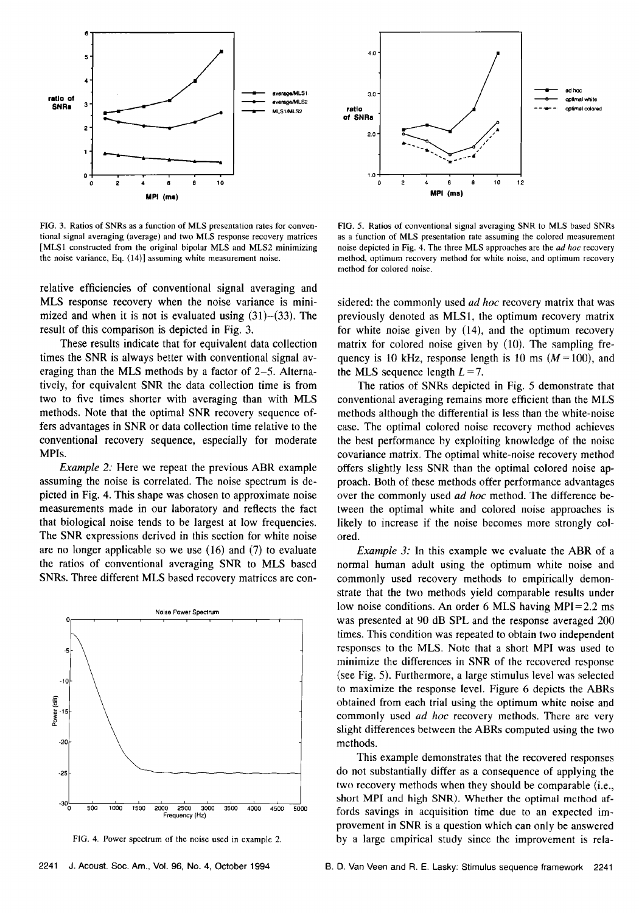

**FIG. 3. Ratios of SNRs as a function of MLS presentation rates for conventional signal averaging (average) and two MLS response recovery matrices [MLS1 constructed from the original bipolar MLS and MLS2 minimizing the noise variance, Eq. (14)] assuming white measurement noise.** 

**relative efficiencies of conventional signal averaging and MLS response recovery when the noise variance is minimized and when it is not is evaluated using (31)-(33). The result of this comparison is depicted in Fig. 3.** 

**These results indicate that for equivalent data collection times the SNR is always better with conventional signal averaging than the MLS methods by a factor of 2-5. Alternatively, for equivalent SNR the data collection time is from two to five times shorter with averaging than with MLS methods. Note that the optimal SNR recovery sequence offers advantages in SNR or data collection time relative to the conventional recovery sequence, especially for moderate MPIs.** 

**Example 2: Here we repeat the previous ABR example assuming the noise is correlated. The noise spectrum is depicted in Fig. 4. This shape was chosen to approximate noise**  measurements made in our laboratory and reflects the fact **that biological noise tends to be largest at low frequencies. The SNR expressions derived in this section for white noise**  are no longer applicable so we use (16) and (7) to evaluate **the ratios of conventional averaging SNR to MLS based SNRs. Three different MLS based recovery matrices are con-** 



**FIG. 4. Power spectrum of the noise used in example 2.** 



**FIG. 5. Ratios of conventional signal averaging SNR to MLS based SNRs as a function of MLS presentation rate assuming the colored measurement noise depicted in Fig. 4. The three MLS approaches are the ad hoc recovery method, optimum recovery method for white noise, and optimum recovery method for colored noise.** 

**sidered: the commonly used ad hoc recovery matrix that was previously denoted as MLS1, the optimum recovery matrix for white noise given by (14), and the optimum recovery matrix for colored noise given by (10). The sampling fre**quency is 10 kHz, response length is 10 ms  $(M=100)$ , and the MLS sequence length  $L = 7$ .

**The ratios of SNRs depicted in Fig. 5 demonstrate that conventional averaging remains more efficient than the MLS methods although the differential is less than the white-noise case. The optimal colored noise recovery method achieves the best performance by exploiting knowledge of the noise covariance matrix. The optimal white-noise recovery method offers slightly less SNR than the optimal colored noise approach. Both of these methods offer performance advantages over the commonly used ad hoc method. The difference between the optimal white and colored noise approaches is likely to increase if the noise becomes more strongly colored.** 

**Example 3: In this example we evaluate the ABR of a normal human adult using the optimum white noise and commonly used recovery methods to empirically demonstrate that the two methods yield comparable results under low noise conditions. An order 6 MLS having MPI=2.2 ms was presented at 90 dB SPL and the response averaged 200 times. This condition was repeated to obtain two independent responses to the MLS. Note that a short MPI was used to minimize the differences in SNR of the recovered response (see Fig. 5). Furthermore, a large stimulus level was selected to maximize the response level. Figure 6 depicts the ABRs obtained from each trial using the optimum white noise and commonly used ad hoc recovery methods. There are very slight differences between the ABRs computed using the two methods.** 

**This example demonstrates that the recovered responses do not substantially differ as a consequence of applying the two recovery methods when they should be comparable (i.e., short MPI and high SNR). Whether the optimal method affords savings in acquisition time due to an expected improvement in SNR is a question which can only be answered by a large empirical study since the improvement is rela-**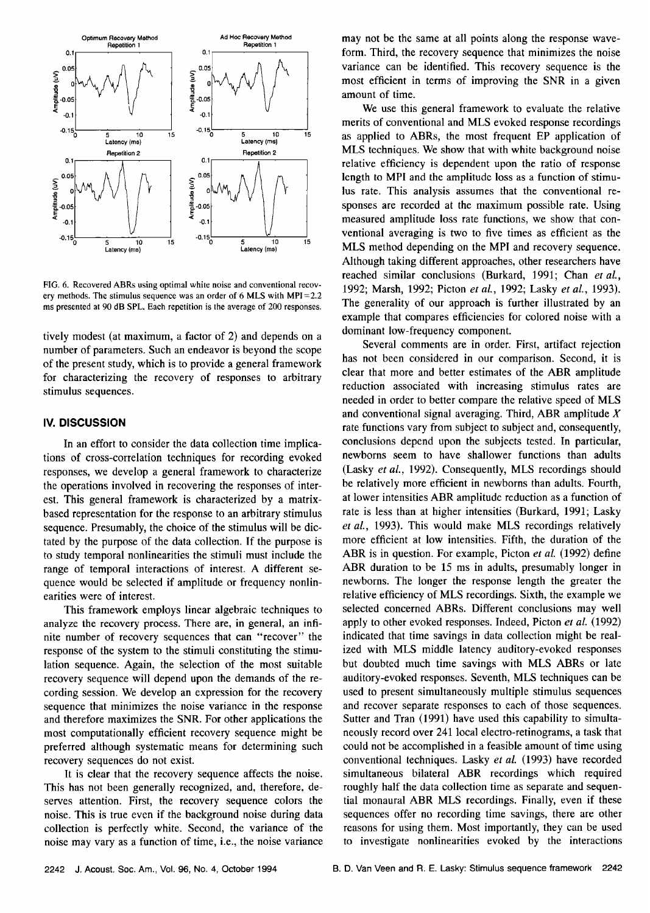

**FIG. 6. Recovered ABRs using optimal white noise and conventional recovery methods. The stimulus sequence was an order of 6 MLS with MPI=2.2 ms presented at 90 dB SPL. Each repetition is the average of 200 responses.** 

**tively modest (at maximum, a factor of 2) and depends on a number of parameters. Such an endeavor is beyond the scope of the present study, which is to provide a general framework for characterizing the recovery of responses to arbitrary stimulus sequences.** 

#### **IV. DISCUSSION**

**In an effort to consider the data collection time implications of cross-correlation techniques for recording evoked responses, we develop a general framework to characterize the operations involved in recovering the responses of interest. This general framework is characterized by a matrixbased representation for the response to an arbitrary stimulus sequence. Presumably, the choice of the stimulus will be dictated by the purpose of the data collection. If the purpose is to study temporal nonlinearities the stimuli must include the range of temporal interactions of interest. A different sequence would be selected if amplitude or frequency nonlinearities were of interest.** 

**This framework employs linear algebraic techniques to analyze the recovery process. There are, in general, an infinite number of recovery sequences that can "recover" the response of the system to the stimuli constituting the stimulation sequence. Again, the selection of the most suitable recovery sequence will depend upon the demands of the recording session. We develop an expression for the recovery sequence that minimizes the noise variance in the response and therefore maximizes the SNR. For other applications the most computationally efficient recovery sequence might be preferred although systematic means for determining such recovery sequences do not exist.** 

**It is clear that the recovery sequence affects the noise. This has not been generally recognized, and, therefore, deserves attention. First, the recovery sequence colors the noise. This is true even if the background noise during data collection is perfectly white. Second, the variance of the noise may vary as a function of time, i.e., the noise variance** 

**may not be the same at all points along the response waveform. Third, the recovery sequence that minimizes the noise variance can be identified. This recovery sequence is the most efficient in terms of improving the SNR in a given amount of time.** 

**We use this general framework to evaluate the relative merits of conventional and MLS evoked response recordings as applied to ABRs, the most frequent EP application of MLS techniques. We show that with white background noise relative efficiency is dependent upon the ratio of response length to MPI and the amplitude loss as a function of stimulus rate. This analysis assumes that the conventional responses are recorded at the maximum possible rate. Using measured amplitude loss rate functions, we show that conventional averaging is two to five times as efficient as the MLS method depending on the MPI and recovery sequence. Although taking different approaches, other researchers have reached similar conclusions (Burkard, 1991; Chan etal., 1992; Marsh, 1992; Picton et al., 1992; Lasky et al., 1993). The generality of our approach is further illustrated by an example that compares efficiencies for colored noise with a dominant low-frequency component.** 

**Several comments are in order. First, artifact rejection has not been considered in our comparison. Second, it is clear that more and better estimates of the ABR amplitude reduction associated with increasing stimulus rates are needed in order to better compare the relative speed of MLS and conventional signal averaging. Third, ABR amplitude X rate functions vary from subject to subject and, consequently, conclusions depend upon the subjects tested. In particular, newborns seem to have shallower functions than adults**  (Lasky et al., 1992). Consequently, MLS recordings should **be relatively more efficient in newborns than adults. Fourth, at lower intensities ABR amplitude reduction as a function of rate is less than at higher intensities (Burkard, 1991; Lasky et al., 1993). This would make MLS recordings relatively more efficient at low intensities. Fifth, the duration of the ABR is in question. For example, Picton et al. (1992) define ABR duration to be 15 ms in adults, presumably longer in newborns. The longer the response length the greater the relative efficiency of MLS recordings. Sixth, the example we selected concerned ABRs. Different conclusions may well apply to other evoked responses. Indeed, Picton et al. (1992) indicated that time savings in data collection might be realized with MLS middle latency auditory-evoked responses but doubted much time savings with MLS ABRs or late auditory-evoked responses. Seventh, MLS techniques can be used to present simultaneously multiple stimulus sequences and recover separate responses to each of those sequences. Sutter and Tran (1991) have used this capability to simultaneously record over 241 local electro-retinograms, a task that could not be accomplished in a feasible amount of time using conventional techniques. Lasky et al. (1993) have recorded simultaneous bilateral ABR recordings which required roughly half the data collection time as separate and sequential monaural ABR MLS recordings. Finally, even if these sequences offer no recording time savings, there are other reasons for using them. Most importantly, they can be used to investigate nonlinearities evoked by the interactions**